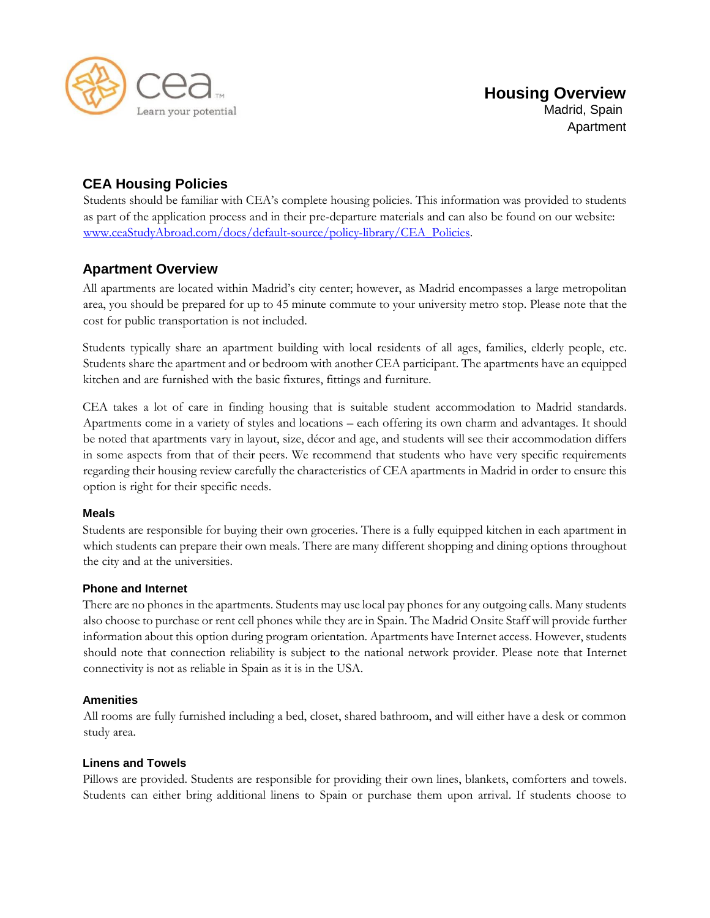

# **CEA Housing Policies**

Students should be familiar with CEA's complete housing policies. This information was provided to students as part of the application process and in their pre-departure materials and can also be found on our websit[e:](http://www.ceastudyabroad.com/docs/default-source/policy-library/CEA_Policies) [www.ceaStudyAbroad.com/docs/default-source/policy-library/CEA\\_Policies.](http://www.ceastudyabroad.com/docs/default-source/policy-library/CEA_Policies) 

# **Apartment Overview**

All apartments are located within Madrid's city center; however, as Madrid encompasses a large metropolitan area, you should be prepared for up to 45 minute commute to your university metro stop. Please note that the cost for public transportation is not included.

Students typically share an apartment building with local residents of all ages, families, elderly people, etc. Students share the apartment and or bedroom with another CEA participant. The apartments have an equipped kitchen and are furnished with the basic fixtures, fittings and furniture.

CEA takes a lot of care in finding housing that is suitable student accommodation to Madrid standards. Apartments come in a variety of styles and locations – each offering its own charm and advantages. It should be noted that apartments vary in layout, size, décor and age, and students will see their accommodation differs in some aspects from that of their peers. We recommend that students who have very specific requirements regarding their housing review carefully the characteristics of CEA apartments in Madrid in order to ensure this option is right for their specific needs.

# **Meals**

Students are responsible for buying their own groceries. There is a fully equipped kitchen in each apartment in which students can prepare their own meals. There are many different shopping and dining options throughout the city and at the universities.

# **Phone and Internet**

There are no phones in the apartments. Students may use local pay phones for any outgoing calls. Many students also choose to purchase or rent cell phones while they are in Spain. The Madrid Onsite Staff will provide further information about this option during program orientation. Apartments have Internet access. However, students should note that connection reliability is subject to the national network provider. Please note that Internet connectivity is not as reliable in Spain as it is in the USA.

# **Amenities**

All rooms are fully furnished including a bed, closet, shared bathroom, and will either have a desk or common study area.

# **Linens and Towels**

Pillows are provided. Students are responsible for providing their own lines, blankets, comforters and towels. Students can either bring additional linens to Spain or purchase them upon arrival. If students choose to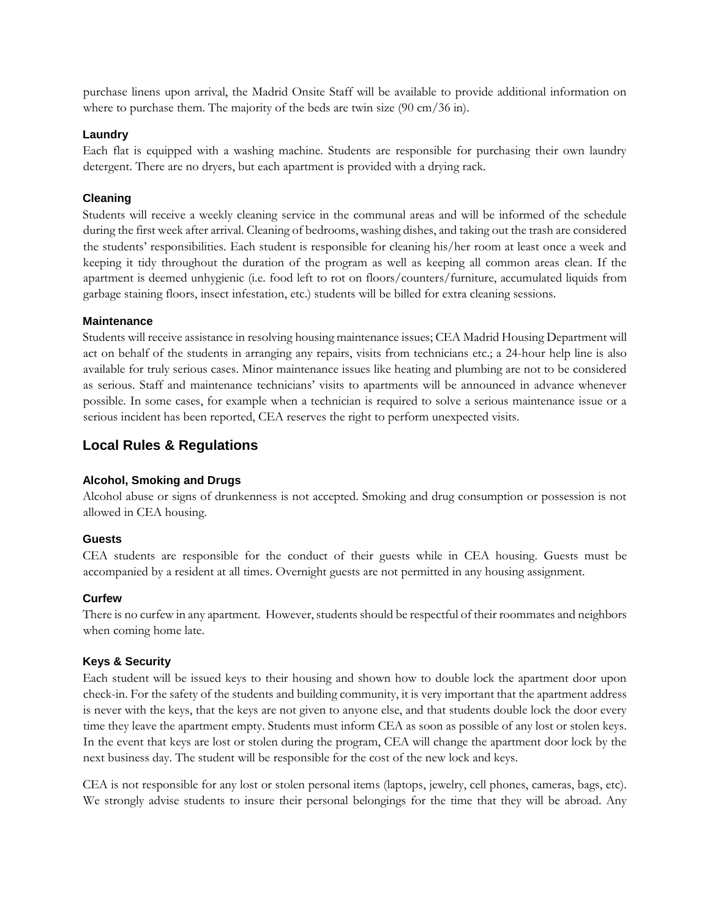purchase linens upon arrival, the Madrid Onsite Staff will be available to provide additional information on where to purchase them. The majority of the beds are twin size (90 cm/36 in).

#### **Laundry**

Each flat is equipped with a washing machine. Students are responsible for purchasing their own laundry detergent. There are no dryers, but each apartment is provided with a drying rack.

#### **Cleaning**

Students will receive a weekly cleaning service in the communal areas and will be informed of the schedule during the first week after arrival. Cleaning of bedrooms, washing dishes, and taking out the trash are considered the students' responsibilities. Each student is responsible for cleaning his/her room at least once a week and keeping it tidy throughout the duration of the program as well as keeping all common areas clean. If the apartment is deemed unhygienic (i.e. food left to rot on floors/counters/furniture, accumulated liquids from garbage staining floors, insect infestation, etc.) students will be billed for extra cleaning sessions.

#### **Maintenance**

Students will receive assistance in resolving housing maintenance issues; CEA Madrid Housing Department will act on behalf of the students in arranging any repairs, visits from technicians etc.; a 24-hour help line is also available for truly serious cases. Minor maintenance issues like heating and plumbing are not to be considered as serious. Staff and maintenance technicians' visits to apartments will be announced in advance whenever possible. In some cases, for example when a technician is required to solve a serious maintenance issue or a serious incident has been reported, CEA reserves the right to perform unexpected visits.

# **Local Rules & Regulations**

# **Alcohol, Smoking and Drugs**

Alcohol abuse or signs of drunkenness is not accepted. Smoking and drug consumption or possession is not allowed in CEA housing.

#### **Guests**

CEA students are responsible for the conduct of their guests while in CEA housing. Guests must be accompanied by a resident at all times. Overnight guests are not permitted in any housing assignment.

#### **Curfew**

There is no curfew in any apartment. However, students should be respectful of their roommates and neighbors when coming home late.

#### **Keys & Security**

Each student will be issued keys to their housing and shown how to double lock the apartment door upon check-in. For the safety of the students and building community, it is very important that the apartment address is never with the keys, that the keys are not given to anyone else, and that students double lock the door every time they leave the apartment empty. Students must inform CEA as soon as possible of any lost or stolen keys. In the event that keys are lost or stolen during the program, CEA will change the apartment door lock by the next business day. The student will be responsible for the cost of the new lock and keys.

CEA is not responsible for any lost or stolen personal items (laptops, jewelry, cell phones, cameras, bags, etc). We strongly advise students to insure their personal belongings for the time that they will be abroad. Any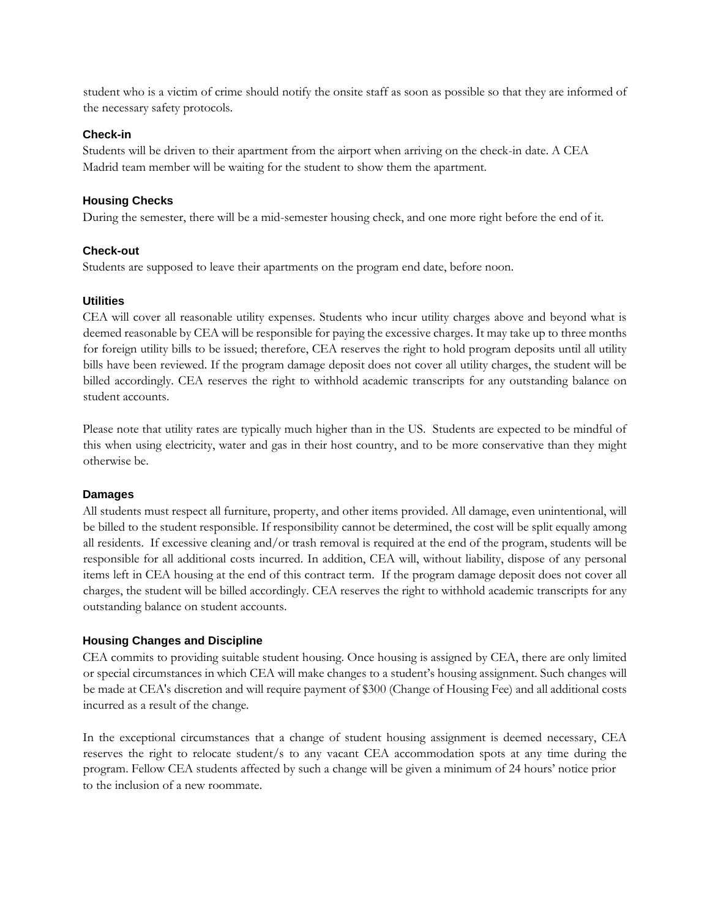student who is a victim of crime should notify the onsite staff as soon as possible so that they are informed of the necessary safety protocols.

### **Check-in**

Students will be driven to their apartment from the airport when arriving on the check-in date. A CEA Madrid team member will be waiting for the student to show them the apartment.

# **Housing Checks**

During the semester, there will be a mid-semester housing check, and one more right before the end of it.

#### **Check-out**

Students are supposed to leave their apartments on the program end date, before noon.

#### **Utilities**

CEA will cover all reasonable utility expenses. Students who incur utility charges above and beyond what is deemed reasonable by CEA will be responsible for paying the excessive charges. It may take up to three months for foreign utility bills to be issued; therefore, CEA reserves the right to hold program deposits until all utility bills have been reviewed. If the program damage deposit does not cover all utility charges, the student will be billed accordingly. CEA reserves the right to withhold academic transcripts for any outstanding balance on student accounts.

Please note that utility rates are typically much higher than in the US. Students are expected to be mindful of this when using electricity, water and gas in their host country, and to be more conservative than they might otherwise be.

# **Damages**

All students must respect all furniture, property, and other items provided. All damage, even unintentional, will be billed to the student responsible. If responsibility cannot be determined, the cost will be split equally among all residents. If excessive cleaning and/or trash removal is required at the end of the program, students will be responsible for all additional costs incurred. In addition, CEA will, without liability, dispose of any personal items left in CEA housing at the end of this contract term. If the program damage deposit does not cover all charges, the student will be billed accordingly. CEA reserves the right to withhold academic transcripts for any outstanding balance on student accounts.

# **Housing Changes and Discipline**

CEA commits to providing suitable student housing. Once housing is assigned by CEA, there are only limited or special circumstances in which CEA will make changes to a student's housing assignment. Such changes will be made at CEA's discretion and will require payment of \$300 (Change of Housing Fee) and all additional costs incurred as a result of the change.

In the exceptional circumstances that a change of student housing assignment is deemed necessary, CEA reserves the right to relocate student/s to any vacant CEA accommodation spots at any time during the program. Fellow CEA students affected by such a change will be given a minimum of 24 hours' notice prior to the inclusion of a new roommate.